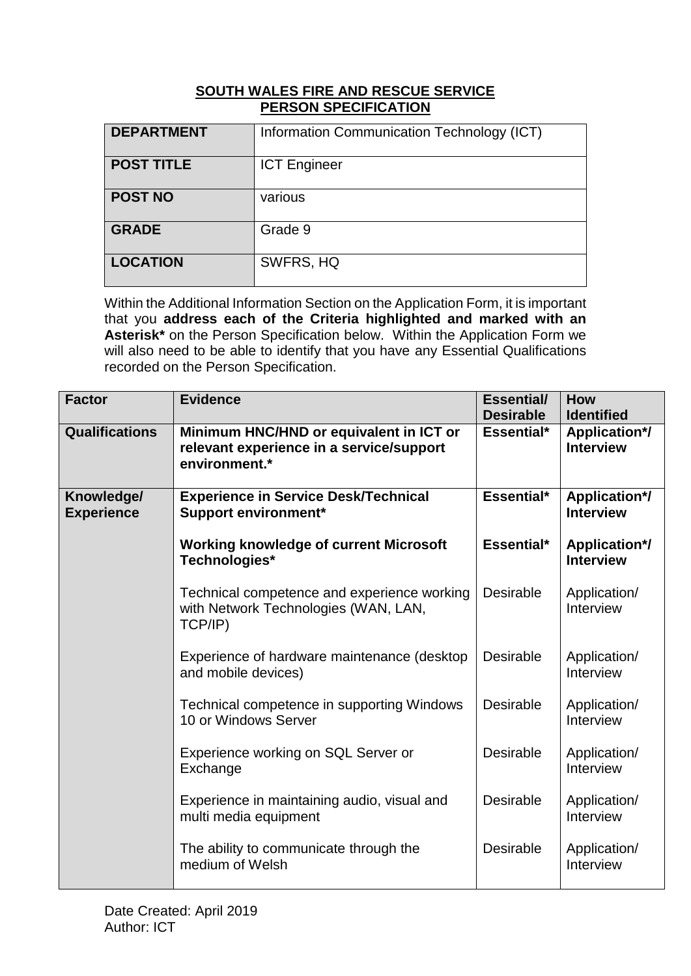## **SOUTH WALES FIRE AND RESCUE SERVICE PERSON SPECIFICATION**

| <b>DEPARTMENT</b> | Information Communication Technology (ICT) |
|-------------------|--------------------------------------------|
| <b>POST TITLE</b> | <b>ICT Engineer</b>                        |
| <b>POST NO</b>    | various                                    |
| <b>GRADE</b>      | Grade 9                                    |
| <b>LOCATION</b>   | SWFRS, HQ                                  |

Within the Additional Information Section on the Application Form, it is important that you **address each of the Criteria highlighted and marked with an Asterisk\*** on the Person Specification below.Within the Application Form we will also need to be able to identify that you have any Essential Qualifications recorded on the Person Specification.

| <b>Factor</b>                   | <b>Evidence</b>                                                                                      | <b>Essential/</b><br><b>Desirable</b> | <b>How</b><br><b>Identified</b>          |
|---------------------------------|------------------------------------------------------------------------------------------------------|---------------------------------------|------------------------------------------|
| <b>Qualifications</b>           | Minimum HNC/HND or equivalent in ICT or<br>relevant experience in a service/support<br>environment.* | Essential*                            | <b>Application*/</b><br><b>Interview</b> |
| Knowledge/<br><b>Experience</b> | <b>Experience in Service Desk/Technical</b><br><b>Support environment*</b>                           | Essential*                            | <b>Application*/</b><br><b>Interview</b> |
|                                 | <b>Working knowledge of current Microsoft</b><br>Technologies*                                       | Essential*                            | <b>Application*/</b><br><b>Interview</b> |
|                                 | Technical competence and experience working<br>with Network Technologies (WAN, LAN,<br>TCP/IP)       | <b>Desirable</b>                      | Application/<br>Interview                |
|                                 | Experience of hardware maintenance (desktop<br>and mobile devices)                                   | <b>Desirable</b>                      | Application/<br>Interview                |
|                                 | Technical competence in supporting Windows<br>10 or Windows Server                                   | <b>Desirable</b>                      | Application/<br>Interview                |
|                                 | Experience working on SQL Server or<br>Exchange                                                      | Desirable                             | Application/<br>Interview                |
|                                 | Experience in maintaining audio, visual and<br>multi media equipment                                 | Desirable                             | Application/<br>Interview                |
|                                 | The ability to communicate through the<br>medium of Welsh                                            | <b>Desirable</b>                      | Application/<br>Interview                |